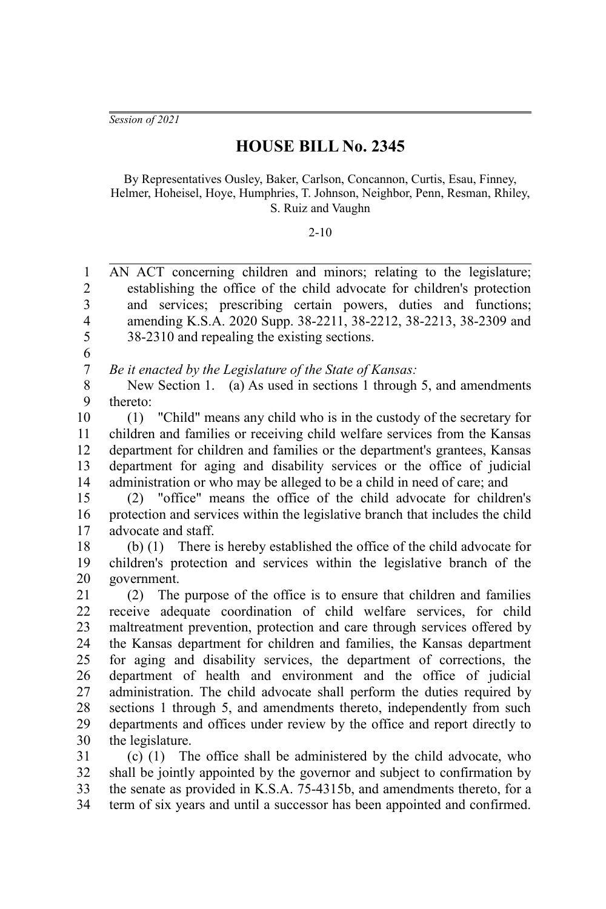*Session of 2021*

## **HOUSE BILL No. 2345**

By Representatives Ousley, Baker, Carlson, Concannon, Curtis, Esau, Finney, Helmer, Hoheisel, Hoye, Humphries, T. Johnson, Neighbor, Penn, Resman, Rhiley, S. Ruiz and Vaughn

## 2-10

AN ACT concerning children and minors; relating to the legislature; establishing the office of the child advocate for children's protection and services; prescribing certain powers, duties and functions; amending K.S.A. 2020 Supp. 38-2211, 38-2212, 38-2213, 38-2309 and 38-2310 and repealing the existing sections. 1  $\mathcal{D}_{\mathcal{L}}$ 3 4 5

6

*Be it enacted by the Legislature of the State of Kansas:* 7

New Section 1. (a) As used in sections 1 through 5, and amendments thereto: 8 9

(1) "Child" means any child who is in the custody of the secretary for children and families or receiving child welfare services from the Kansas department for children and families or the department's grantees, Kansas department for aging and disability services or the office of judicial administration or who may be alleged to be a child in need of care; and 10 11 12 13 14

(2) "office" means the office of the child advocate for children's protection and services within the legislative branch that includes the child advocate and staff. 15 16 17

(b) (1) There is hereby established the office of the child advocate for children's protection and services within the legislative branch of the government. 18 19 20

(2) The purpose of the office is to ensure that children and families receive adequate coordination of child welfare services, for child maltreatment prevention, protection and care through services offered by the Kansas department for children and families, the Kansas department for aging and disability services, the department of corrections, the department of health and environment and the office of judicial administration. The child advocate shall perform the duties required by sections 1 through 5, and amendments thereto, independently from such departments and offices under review by the office and report directly to the legislature. 21 22 23 24 25 26 27 28 29 30

(c) (1) The office shall be administered by the child advocate, who shall be jointly appointed by the governor and subject to confirmation by the senate as provided in K.S.A. 75-4315b, and amendments thereto, for a term of six years and until a successor has been appointed and confirmed. 31 32 33 34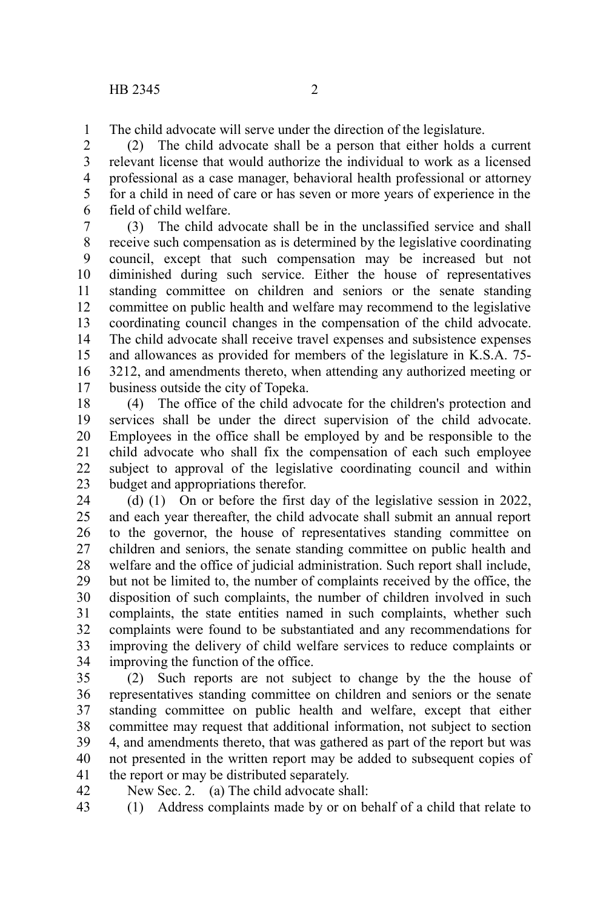The child advocate will serve under the direction of the legislature. 1

(2) The child advocate shall be a person that either holds a current relevant license that would authorize the individual to work as a licensed professional as a case manager, behavioral health professional or attorney for a child in need of care or has seven or more years of experience in the field of child welfare. 2 3 4 5 6

(3) The child advocate shall be in the unclassified service and shall receive such compensation as is determined by the legislative coordinating council, except that such compensation may be increased but not diminished during such service. Either the house of representatives standing committee on children and seniors or the senate standing committee on public health and welfare may recommend to the legislative coordinating council changes in the compensation of the child advocate. The child advocate shall receive travel expenses and subsistence expenses and allowances as provided for members of the legislature in K.S.A. 75- 3212, and amendments thereto, when attending any authorized meeting or business outside the city of Topeka. 7 8 9 10 11 12 13 14 15 16 17

(4) The office of the child advocate for the children's protection and services shall be under the direct supervision of the child advocate. Employees in the office shall be employed by and be responsible to the child advocate who shall fix the compensation of each such employee subject to approval of the legislative coordinating council and within budget and appropriations therefor. 18 19 20 21 22 23

(d) (1) On or before the first day of the legislative session in 2022, and each year thereafter, the child advocate shall submit an annual report to the governor, the house of representatives standing committee on children and seniors, the senate standing committee on public health and welfare and the office of judicial administration. Such report shall include, but not be limited to, the number of complaints received by the office, the disposition of such complaints, the number of children involved in such complaints, the state entities named in such complaints, whether such complaints were found to be substantiated and any recommendations for improving the delivery of child welfare services to reduce complaints or improving the function of the office. 24 25 26 27 28 29 30 31 32 33 34

(2) Such reports are not subject to change by the the house of representatives standing committee on children and seniors or the senate standing committee on public health and welfare, except that either committee may request that additional information, not subject to section 4, and amendments thereto, that was gathered as part of the report but was not presented in the written report may be added to subsequent copies of the report or may be distributed separately. 35 36 37 38 39 40 41

New Sec. 2. (a) The child advocate shall: 42

(1) Address complaints made by or on behalf of a child that relate to 43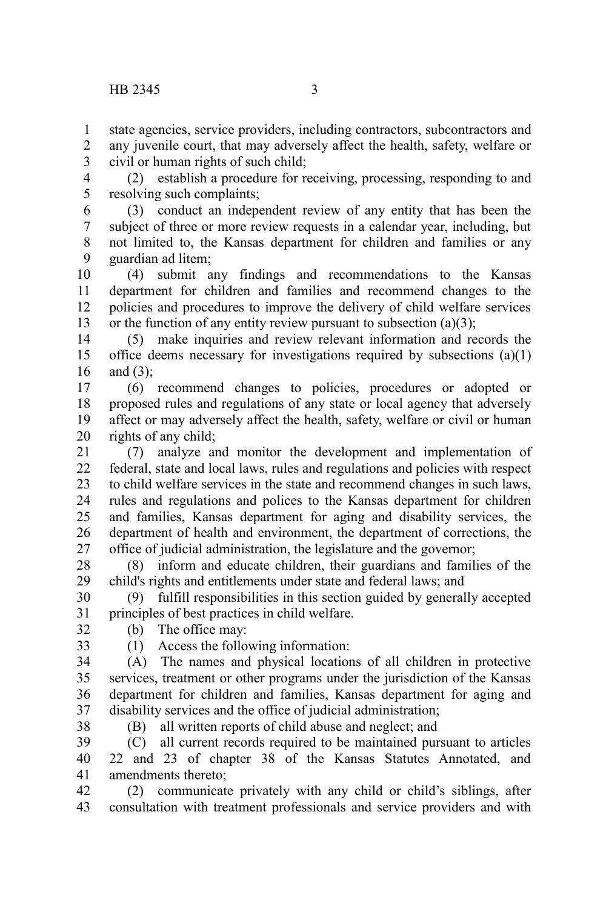state agencies, service providers, including contractors, subcontractors and any juvenile court, that may adversely affect the health, safety, welfare or civil or human rights of such child; 1 2 3

(2) establish a procedure for receiving, processing, responding to and resolving such complaints; 4 5

(3) conduct an independent review of any entity that has been the subject of three or more review requests in a calendar year, including, but not limited to, the Kansas department for children and families or any guardian ad litem; 6 7 8 9

(4) submit any findings and recommendations to the Kansas department for children and families and recommend changes to the policies and procedures to improve the delivery of child welfare services or the function of any entity review pursuant to subsection (a)(3); 10 11 12 13

(5) make inquiries and review relevant information and records the office deems necessary for investigations required by subsections (a)(1) and  $(3)$ : 14 15 16

(6) recommend changes to policies, procedures or adopted or proposed rules and regulations of any state or local agency that adversely affect or may adversely affect the health, safety, welfare or civil or human rights of any child; 17 18 19 20

(7) analyze and monitor the development and implementation of federal, state and local laws, rules and regulations and policies with respect to child welfare services in the state and recommend changes in such laws, rules and regulations and polices to the Kansas department for children and families, Kansas department for aging and disability services, the department of health and environment, the department of corrections, the office of judicial administration, the legislature and the governor; 21  $22$ 23 24 25 26 27

(8) inform and educate children, their guardians and families of the child's rights and entitlements under state and federal laws; and 28 29

(9) fulfill responsibilities in this section guided by generally accepted principles of best practices in child welfare. 30 31

(b) The office may:

32 33

(1) Access the following information:

(A) The names and physical locations of all children in protective services, treatment or other programs under the jurisdiction of the Kansas department for children and families, Kansas department for aging and disability services and the office of judicial administration; 34 35 36 37

38

(B) all written reports of child abuse and neglect; and

(C) all current records required to be maintained pursuant to articles 22 and 23 of chapter 38 of the Kansas Statutes Annotated, and amendments thereto; 39 40 41

(2) communicate privately with any child or child's siblings, after consultation with treatment professionals and service providers and with 42 43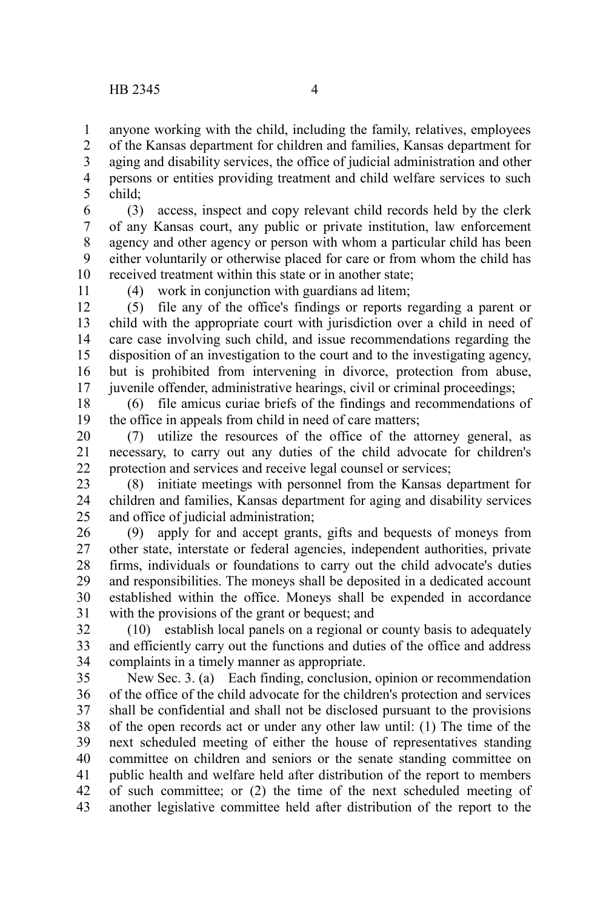anyone working with the child, including the family, relatives, employees of the Kansas department for children and families, Kansas department for aging and disability services, the office of judicial administration and other persons or entities providing treatment and child welfare services to such child; 1 2 3 4 5

(3) access, inspect and copy relevant child records held by the clerk of any Kansas court, any public or private institution, law enforcement agency and other agency or person with whom a particular child has been either voluntarily or otherwise placed for care or from whom the child has received treatment within this state or in another state; 6 7 8 9 10

(4) work in conjunction with guardians ad litem;

(5) file any of the office's findings or reports regarding a parent or child with the appropriate court with jurisdiction over a child in need of care case involving such child, and issue recommendations regarding the disposition of an investigation to the court and to the investigating agency, but is prohibited from intervening in divorce, protection from abuse, juvenile offender, administrative hearings, civil or criminal proceedings; 12 13 14 15 16 17

(6) file amicus curiae briefs of the findings and recommendations of the office in appeals from child in need of care matters; 18 19

(7) utilize the resources of the office of the attorney general, as necessary, to carry out any duties of the child advocate for children's protection and services and receive legal counsel or services; 20 21 22

(8) initiate meetings with personnel from the Kansas department for children and families, Kansas department for aging and disability services and office of judicial administration; 23 24 25

(9) apply for and accept grants, gifts and bequests of moneys from other state, interstate or federal agencies, independent authorities, private firms, individuals or foundations to carry out the child advocate's duties and responsibilities. The moneys shall be deposited in a dedicated account established within the office. Moneys shall be expended in accordance with the provisions of the grant or bequest; and 26 27 28 29 30 31

(10) establish local panels on a regional or county basis to adequately and efficiently carry out the functions and duties of the office and address complaints in a timely manner as appropriate. 32 33 34

New Sec. 3. (a) Each finding, conclusion, opinion or recommendation of the office of the child advocate for the children's protection and services shall be confidential and shall not be disclosed pursuant to the provisions of the open records act or under any other law until: (1) The time of the next scheduled meeting of either the house of representatives standing committee on children and seniors or the senate standing committee on public health and welfare held after distribution of the report to members of such committee; or (2) the time of the next scheduled meeting of another legislative committee held after distribution of the report to the 35 36 37 38 39 40 41 42 43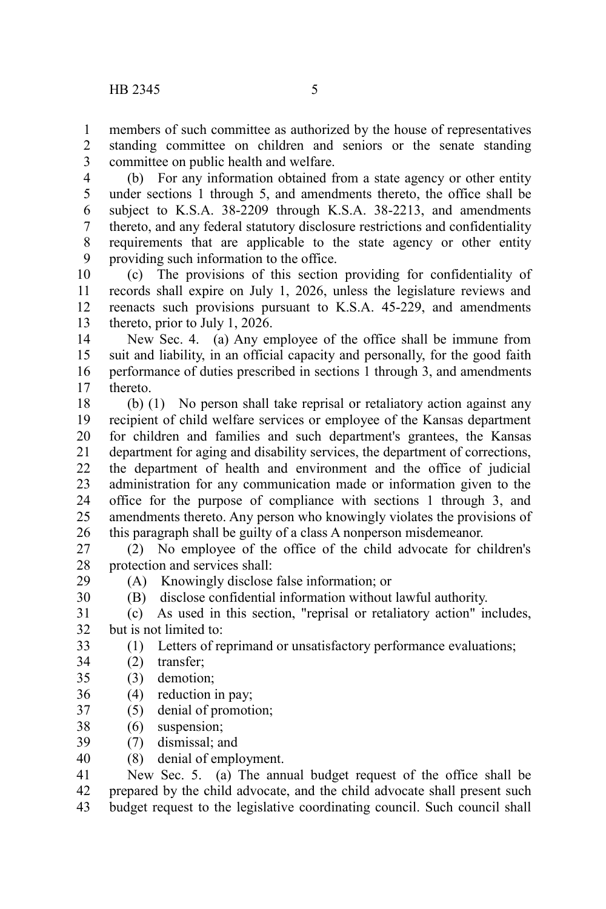members of such committee as authorized by the house of representatives standing committee on children and seniors or the senate standing committee on public health and welfare. 1 2 3

(b) For any information obtained from a state agency or other entity under sections 1 through 5, and amendments thereto, the office shall be subject to K.S.A. 38-2209 through K.S.A. 38-2213, and amendments thereto, and any federal statutory disclosure restrictions and confidentiality requirements that are applicable to the state agency or other entity providing such information to the office. 4 5 6 7 8 9

(c) The provisions of this section providing for confidentiality of records shall expire on July 1, 2026, unless the legislature reviews and reenacts such provisions pursuant to K.S.A. 45-229, and amendments thereto, prior to July 1, 2026. 10 11 12 13

New Sec. 4. (a) Any employee of the office shall be immune from suit and liability, in an official capacity and personally, for the good faith performance of duties prescribed in sections 1 through 3, and amendments thereto. 14 15 16 17

(b) (1) No person shall take reprisal or retaliatory action against any recipient of child welfare services or employee of the Kansas department for children and families and such department's grantees, the Kansas department for aging and disability services, the department of corrections, the department of health and environment and the office of judicial administration for any communication made or information given to the office for the purpose of compliance with sections 1 through 3, and amendments thereto. Any person who knowingly violates the provisions of this paragraph shall be guilty of a class A nonperson misdemeanor. 18 19 20 21 22 23 24 25 26

(2) No employee of the office of the child advocate for children's protection and services shall: 27 28

29 30 (A) Knowingly disclose false information; or

(B) disclose confidential information without lawful authority.

(c) As used in this section, "reprisal or retaliatory action" includes, but is not limited to: 31 32

- (1) Letters of reprimand or unsatisfactory performance evaluations; 33
- (2) transfer; 34
- (3) demotion; 35
- (4) reduction in pay; 36
- (5) denial of promotion; 37
- (6) suspension; 38
- (7) dismissal; and 39
- (8) denial of employment. 40

New Sec. 5. (a) The annual budget request of the office shall be prepared by the child advocate, and the child advocate shall present such budget request to the legislative coordinating council. Such council shall 41 42 43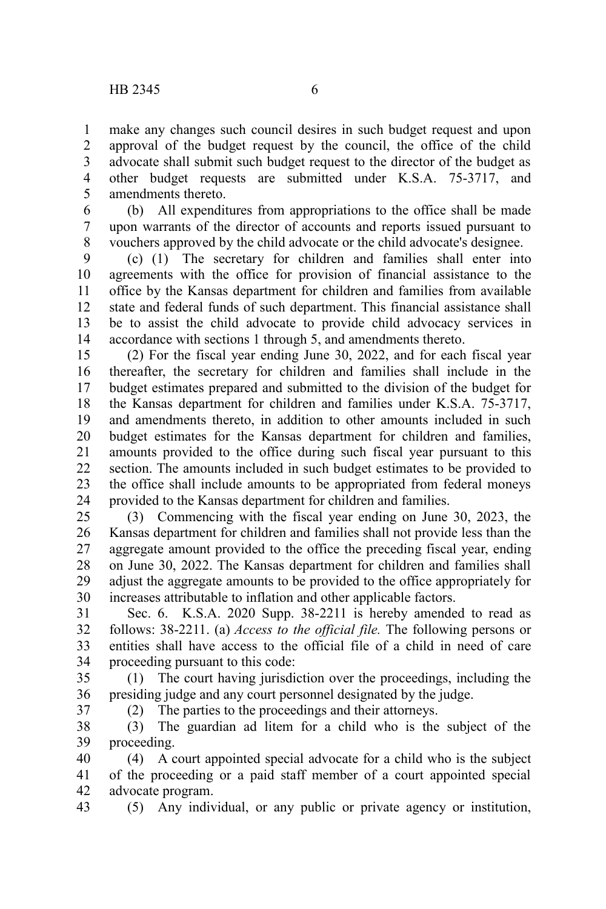37

make any changes such council desires in such budget request and upon approval of the budget request by the council, the office of the child advocate shall submit such budget request to the director of the budget as other budget requests are submitted under K.S.A. 75-3717, and amendments thereto. 1 2 3 4 5

(b) All expenditures from appropriations to the office shall be made upon warrants of the director of accounts and reports issued pursuant to vouchers approved by the child advocate or the child advocate's designee. 6 7 8

(c) (1) The secretary for children and families shall enter into agreements with the office for provision of financial assistance to the office by the Kansas department for children and families from available state and federal funds of such department. This financial assistance shall be to assist the child advocate to provide child advocacy services in accordance with sections 1 through 5, and amendments thereto. 9 10 11 12 13 14

(2) For the fiscal year ending June 30, 2022, and for each fiscal year thereafter, the secretary for children and families shall include in the budget estimates prepared and submitted to the division of the budget for the Kansas department for children and families under K.S.A. 75-3717, and amendments thereto, in addition to other amounts included in such budget estimates for the Kansas department for children and families, amounts provided to the office during such fiscal year pursuant to this section. The amounts included in such budget estimates to be provided to the office shall include amounts to be appropriated from federal moneys provided to the Kansas department for children and families. 15 16 17 18 19 20 21 22 23 24

(3) Commencing with the fiscal year ending on June 30, 2023, the Kansas department for children and families shall not provide less than the aggregate amount provided to the office the preceding fiscal year, ending on June 30, 2022. The Kansas department for children and families shall adjust the aggregate amounts to be provided to the office appropriately for increases attributable to inflation and other applicable factors. 25 26 27 28 29 30

Sec. 6. K.S.A. 2020 Supp. 38-2211 is hereby amended to read as follows: 38-2211. (a) *Access to the official file.* The following persons or entities shall have access to the official file of a child in need of care proceeding pursuant to this code: 31 32 33 34

(1) The court having jurisdiction over the proceedings, including the presiding judge and any court personnel designated by the judge. 35 36

(2) The parties to the proceedings and their attorneys.

(3) The guardian ad litem for a child who is the subject of the proceeding. 38 39

(4) A court appointed special advocate for a child who is the subject of the proceeding or a paid staff member of a court appointed special advocate program. 40 41 42

(5) Any individual, or any public or private agency or institution, 43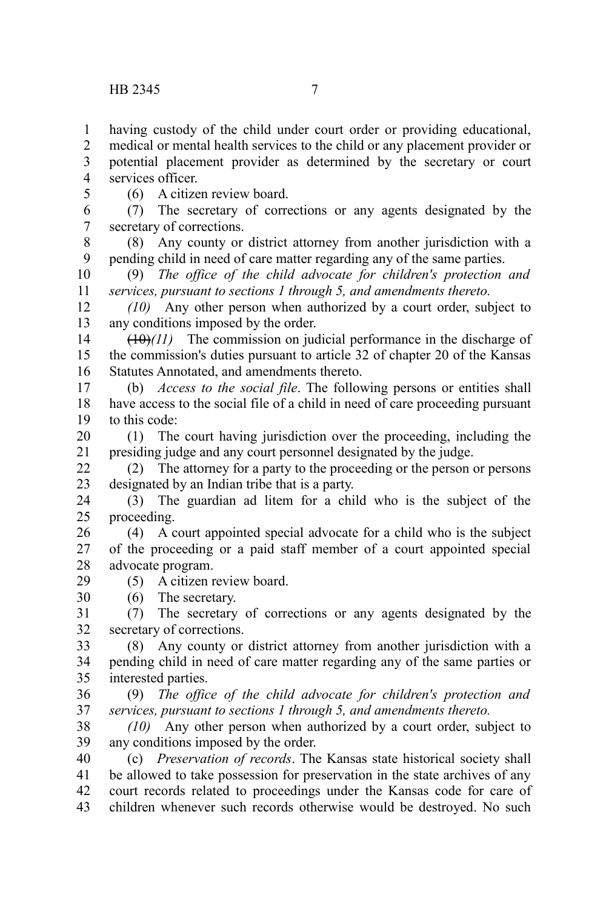having custody of the child under court order or providing educational, 1

medical or mental health services to the child or any placement provider or potential placement provider as determined by the secretary or court services officer. 2 3 4

5

(6) A citizen review board.

(7) The secretary of corrections or any agents designated by the secretary of corrections. 6 7

(8) Any county or district attorney from another jurisdiction with a pending child in need of care matter regarding any of the same parties. 8 9

(9) *The office of the child advocate for children's protection and services, pursuant to sections 1 through 5, and amendments thereto.* 10 11

*(10)* Any other person when authorized by a court order, subject to any conditions imposed by the order. 12 13

 $(10)(11)$  The commission on judicial performance in the discharge of the commission's duties pursuant to article 32 of chapter 20 of the Kansas Statutes Annotated, and amendments thereto. 14 15 16

(b) *Access to the social file*. The following persons or entities shall have access to the social file of a child in need of care proceeding pursuant to this code: 17 18 19

(1) The court having jurisdiction over the proceeding, including the presiding judge and any court personnel designated by the judge. 20 21

(2) The attorney for a party to the proceeding or the person or persons designated by an Indian tribe that is a party. 22 23

(3) The guardian ad litem for a child who is the subject of the proceeding. 24 25

(4) A court appointed special advocate for a child who is the subject of the proceeding or a paid staff member of a court appointed special advocate program. 26 27 28

(5) A citizen review board. 29

(6) The secretary. 30

(7) The secretary of corrections or any agents designated by the secretary of corrections. 31 32

(8) Any county or district attorney from another jurisdiction with a pending child in need of care matter regarding any of the same parties or interested parties. 33 34 35

(9) *The office of the child advocate for children's protection and services, pursuant to sections 1 through 5, and amendments thereto.* 36 37

*(10)* Any other person when authorized by a court order, subject to any conditions imposed by the order. 38 39

(c) *Preservation of records*. The Kansas state historical society shall be allowed to take possession for preservation in the state archives of any court records related to proceedings under the Kansas code for care of children whenever such records otherwise would be destroyed. No such 40 41 42 43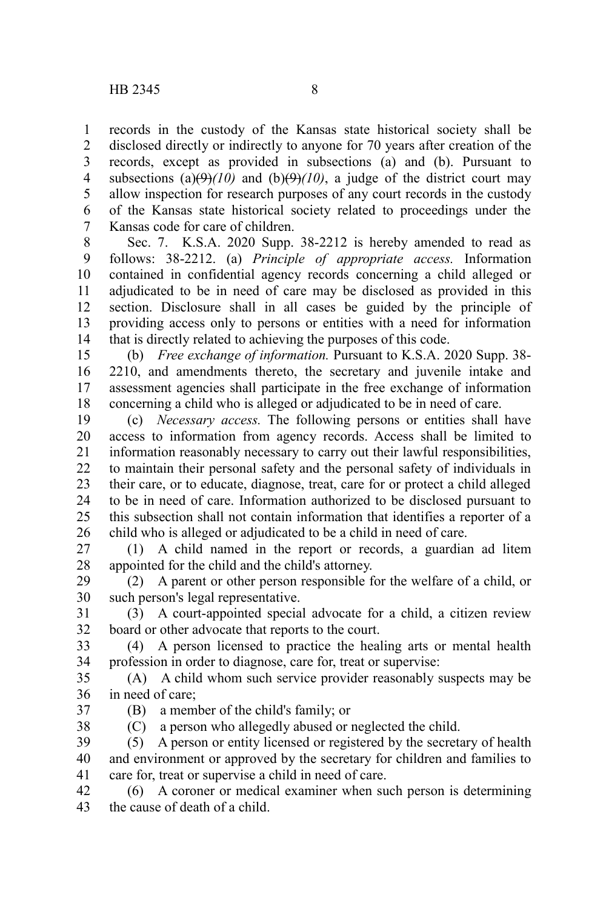records in the custody of the Kansas state historical society shall be disclosed directly or indirectly to anyone for 70 years after creation of the records, except as provided in subsections (a) and (b). Pursuant to subsections (a) $(\theta)(10)$  and (b) $(\theta)(10)$ , a judge of the district court may allow inspection for research purposes of any court records in the custody of the Kansas state historical society related to proceedings under the Kansas code for care of children. 1 2 3 4 5 6 7

Sec. 7. K.S.A. 2020 Supp. 38-2212 is hereby amended to read as follows: 38-2212. (a) *Principle of appropriate access.* Information contained in confidential agency records concerning a child alleged or adjudicated to be in need of care may be disclosed as provided in this section. Disclosure shall in all cases be guided by the principle of providing access only to persons or entities with a need for information that is directly related to achieving the purposes of this code. 8 9 10 11 12 13 14

(b) *Free exchange of information.* Pursuant to K.S.A. 2020 Supp. 38- 2210, and amendments thereto, the secretary and juvenile intake and assessment agencies shall participate in the free exchange of information concerning a child who is alleged or adjudicated to be in need of care. 15 16 17 18

(c) *Necessary access.* The following persons or entities shall have access to information from agency records. Access shall be limited to information reasonably necessary to carry out their lawful responsibilities, to maintain their personal safety and the personal safety of individuals in their care, or to educate, diagnose, treat, care for or protect a child alleged to be in need of care. Information authorized to be disclosed pursuant to this subsection shall not contain information that identifies a reporter of a child who is alleged or adjudicated to be a child in need of care. 19 20 21 22 23 24 25 26

(1) A child named in the report or records, a guardian ad litem appointed for the child and the child's attorney. 27 28

(2) A parent or other person responsible for the welfare of a child, or such person's legal representative. 29 30

(3) A court-appointed special advocate for a child, a citizen review board or other advocate that reports to the court. 31 32

(4) A person licensed to practice the healing arts or mental health profession in order to diagnose, care for, treat or supervise: 33 34

(A) A child whom such service provider reasonably suspects may be in need of care; 35 36

37

38

(C) a person who allegedly abused or neglected the child.

(B) a member of the child's family; or

(5) A person or entity licensed or registered by the secretary of health and environment or approved by the secretary for children and families to care for, treat or supervise a child in need of care. 39 40 41

(6) A coroner or medical examiner when such person is determining the cause of death of a child. 42 43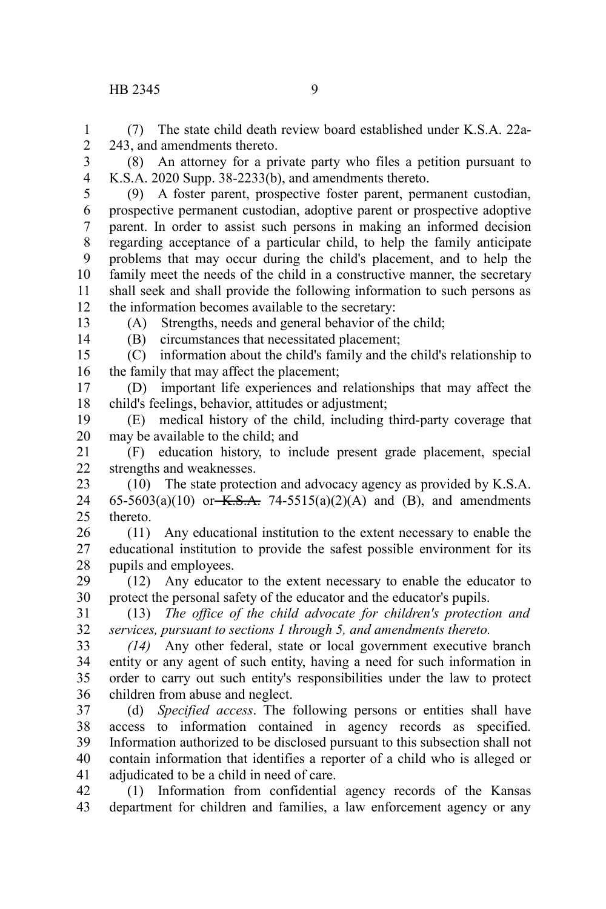## HB 2345 9

(7) The state child death review board established under K.S.A. 22a-243, and amendments thereto. 1 2

(8) An attorney for a private party who files a petition pursuant to K.S.A. 2020 Supp. 38-2233(b), and amendments thereto. 3 4

(9) A foster parent, prospective foster parent, permanent custodian, prospective permanent custodian, adoptive parent or prospective adoptive parent. In order to assist such persons in making an informed decision regarding acceptance of a particular child, to help the family anticipate problems that may occur during the child's placement, and to help the family meet the needs of the child in a constructive manner, the secretary shall seek and shall provide the following information to such persons as the information becomes available to the secretary: 5 6 7 8 9 10 11 12

13 14 (A) Strengths, needs and general behavior of the child;

(B) circumstances that necessitated placement;

(C) information about the child's family and the child's relationship to the family that may affect the placement; 15 16

(D) important life experiences and relationships that may affect the child's feelings, behavior, attitudes or adjustment; 17 18

(E) medical history of the child, including third-party coverage that may be available to the child; and 19 20

(F) education history, to include present grade placement, special strengths and weaknesses. 21 22

(10) The state protection and advocacy agency as provided by K.S.A. 65-5603(a)(10) or  $K.S.A. 74-5515(a)(2)(A)$  and (B), and amendments thereto. 23 24 25

(11) Any educational institution to the extent necessary to enable the educational institution to provide the safest possible environment for its pupils and employees. 26 27 28

(12) Any educator to the extent necessary to enable the educator to protect the personal safety of the educator and the educator's pupils. 29 30

(13) *The office of the child advocate for children's protection and services, pursuant to sections 1 through 5, and amendments thereto.* 31 32

*(14)* Any other federal, state or local government executive branch entity or any agent of such entity, having a need for such information in order to carry out such entity's responsibilities under the law to protect children from abuse and neglect. 33 34 35 36

(d) *Specified access*. The following persons or entities shall have access to information contained in agency records as specified. Information authorized to be disclosed pursuant to this subsection shall not contain information that identifies a reporter of a child who is alleged or adjudicated to be a child in need of care. 37 38 39 40 41

(1) Information from confidential agency records of the Kansas department for children and families, a law enforcement agency or any 42 43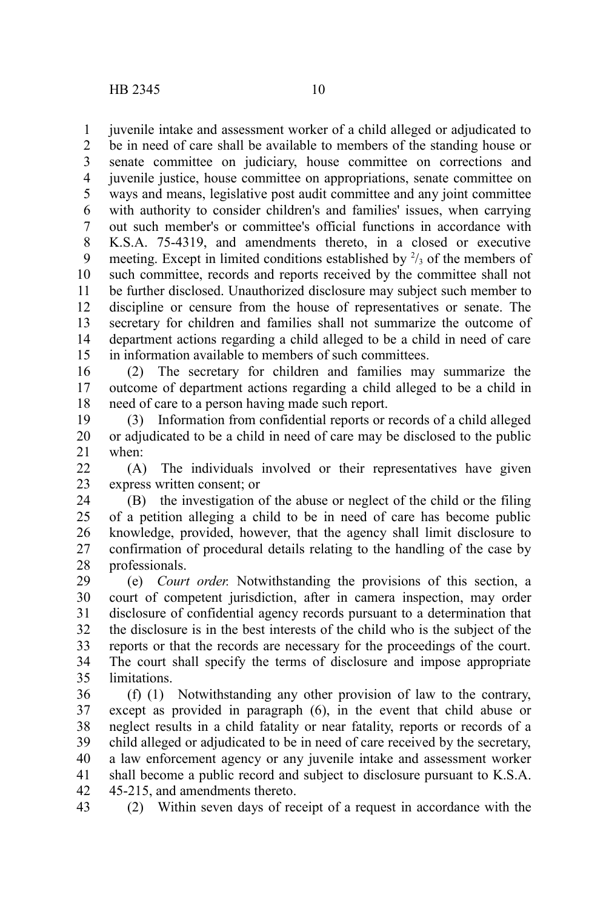juvenile intake and assessment worker of a child alleged or adjudicated to be in need of care shall be available to members of the standing house or senate committee on judiciary, house committee on corrections and juvenile justice, house committee on appropriations, senate committee on ways and means, legislative post audit committee and any joint committee with authority to consider children's and families' issues, when carrying out such member's or committee's official functions in accordance with K.S.A. 75-4319, and amendments thereto, in a closed or executive meeting. Except in limited conditions established by  $\frac{2}{3}$  of the members of such committee, records and reports received by the committee shall not be further disclosed. Unauthorized disclosure may subject such member to discipline or censure from the house of representatives or senate. The secretary for children and families shall not summarize the outcome of department actions regarding a child alleged to be a child in need of care in information available to members of such committees. 1 2 3 4 5 6 7 8 9 10 11 12 13 14 15

(2) The secretary for children and families may summarize the outcome of department actions regarding a child alleged to be a child in need of care to a person having made such report. 16 17 18

(3) Information from confidential reports or records of a child alleged or adjudicated to be a child in need of care may be disclosed to the public when: 19 20 21

(A) The individuals involved or their representatives have given express written consent; or  $22$ 23

(B) the investigation of the abuse or neglect of the child or the filing of a petition alleging a child to be in need of care has become public knowledge, provided, however, that the agency shall limit disclosure to confirmation of procedural details relating to the handling of the case by professionals. 24 25 26 27 28

(e) *Court order.* Notwithstanding the provisions of this section, a court of competent jurisdiction, after in camera inspection, may order disclosure of confidential agency records pursuant to a determination that the disclosure is in the best interests of the child who is the subject of the reports or that the records are necessary for the proceedings of the court. The court shall specify the terms of disclosure and impose appropriate limitations. 29 30 31 32 33 34 35

(f) (1) Notwithstanding any other provision of law to the contrary, except as provided in paragraph (6), in the event that child abuse or neglect results in a child fatality or near fatality, reports or records of a child alleged or adjudicated to be in need of care received by the secretary, a law enforcement agency or any juvenile intake and assessment worker shall become a public record and subject to disclosure pursuant to K.S.A. 45-215, and amendments thereto. 36 37 38 39 40 41 42

(2) Within seven days of receipt of a request in accordance with the 43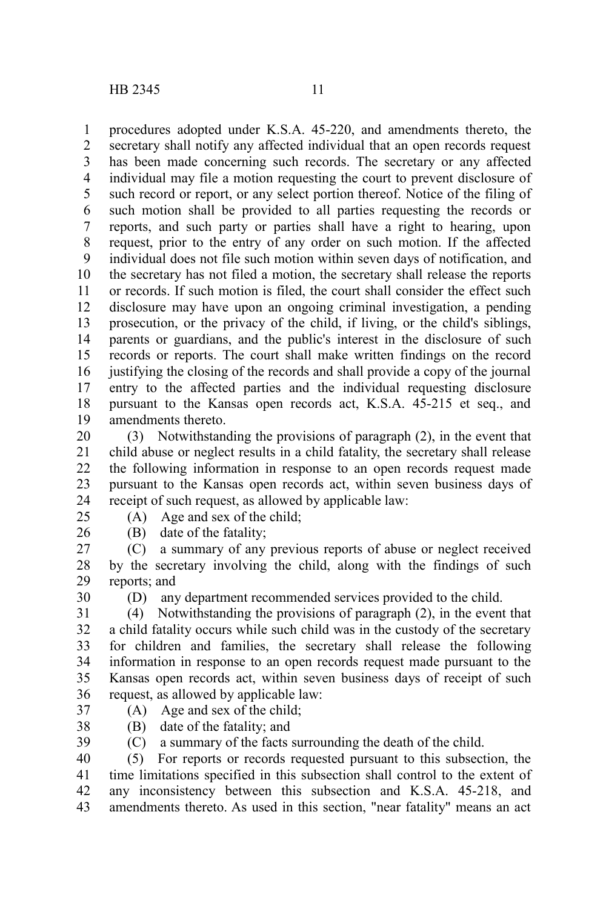procedures adopted under K.S.A. 45-220, and amendments thereto, the secretary shall notify any affected individual that an open records request has been made concerning such records. The secretary or any affected individual may file a motion requesting the court to prevent disclosure of such record or report, or any select portion thereof. Notice of the filing of such motion shall be provided to all parties requesting the records or reports, and such party or parties shall have a right to hearing, upon request, prior to the entry of any order on such motion. If the affected individual does not file such motion within seven days of notification, and the secretary has not filed a motion, the secretary shall release the reports or records. If such motion is filed, the court shall consider the effect such disclosure may have upon an ongoing criminal investigation, a pending prosecution, or the privacy of the child, if living, or the child's siblings, parents or guardians, and the public's interest in the disclosure of such records or reports. The court shall make written findings on the record justifying the closing of the records and shall provide a copy of the journal entry to the affected parties and the individual requesting disclosure pursuant to the Kansas open records act, K.S.A. 45-215 et seq., and amendments thereto. 1 2 3 4 5 6 7 8 9 10 11 12 13 14 15 16 17 18 19

(3) Notwithstanding the provisions of paragraph (2), in the event that child abuse or neglect results in a child fatality, the secretary shall release the following information in response to an open records request made pursuant to the Kansas open records act, within seven business days of receipt of such request, as allowed by applicable law: 20 21 22 23 24

25

(A) Age and sex of the child;

26

(B) date of the fatality;

(C) a summary of any previous reports of abuse or neglect received by the secretary involving the child, along with the findings of such reports; and 27 28 29

30

(D) any department recommended services provided to the child.

(4) Notwithstanding the provisions of paragraph (2), in the event that a child fatality occurs while such child was in the custody of the secretary for children and families, the secretary shall release the following information in response to an open records request made pursuant to the Kansas open records act, within seven business days of receipt of such request, as allowed by applicable law: 31 32 33 34 35 36

- 37 38
- (A) Age and sex of the child; (B) date of the fatality; and
- (C) a summary of the facts surrounding the death of the child. 39

(5) For reports or records requested pursuant to this subsection, the time limitations specified in this subsection shall control to the extent of any inconsistency between this subsection and K.S.A. 45-218, and amendments thereto. As used in this section, "near fatality" means an act 40 41 42 43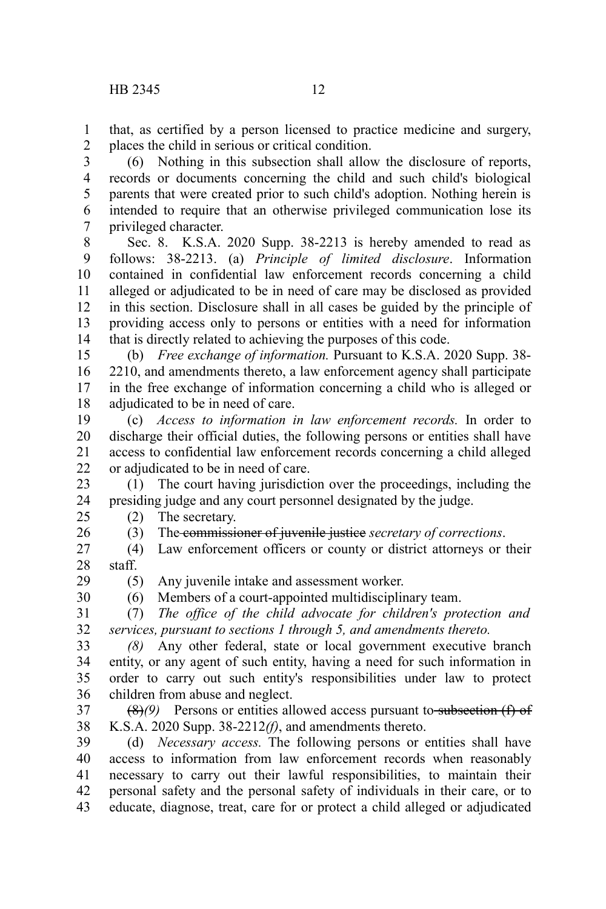that, as certified by a person licensed to practice medicine and surgery, places the child in serious or critical condition. 1 2

(6) Nothing in this subsection shall allow the disclosure of reports, records or documents concerning the child and such child's biological parents that were created prior to such child's adoption. Nothing herein is intended to require that an otherwise privileged communication lose its privileged character. 3 4 5 6 7

Sec. 8. K.S.A. 2020 Supp. 38-2213 is hereby amended to read as follows: 38-2213. (a) *Principle of limited disclosure*. Information contained in confidential law enforcement records concerning a child alleged or adjudicated to be in need of care may be disclosed as provided in this section. Disclosure shall in all cases be guided by the principle of providing access only to persons or entities with a need for information that is directly related to achieving the purposes of this code. 8 9 10 11 12 13 14

(b) *Free exchange of information.* Pursuant to K.S.A. 2020 Supp. 38- 2210, and amendments thereto, a law enforcement agency shall participate in the free exchange of information concerning a child who is alleged or adjudicated to be in need of care. 15 16 17 18

(c) *Access to information in law enforcement records.* In order to discharge their official duties, the following persons or entities shall have access to confidential law enforcement records concerning a child alleged or adjudicated to be in need of care. 19 20 21 22

(1) The court having jurisdiction over the proceedings, including the presiding judge and any court personnel designated by the judge. 23 24

- (2) The secretary. 25
	- (3) The commissioner of juvenile justice *secretary of corrections*.

(4) Law enforcement officers or county or district attorneys or their staff. 27 28

29 30

26

(5) Any juvenile intake and assessment worker.

(6) Members of a court-appointed multidisciplinary team.

(7) *The office of the child advocate for children's protection and services, pursuant to sections 1 through 5, and amendments thereto.* 31 32

*(8)* Any other federal, state or local government executive branch entity, or any agent of such entity, having a need for such information in order to carry out such entity's responsibilities under law to protect children from abuse and neglect. 33 34 35 36

(8)<sup>(9)</sup> Persons or entities allowed access pursuant to-subsection (f) of K.S.A. 2020 Supp. 38-2212*(f)*, and amendments thereto. 37 38

(d) *Necessary access.* The following persons or entities shall have access to information from law enforcement records when reasonably necessary to carry out their lawful responsibilities, to maintain their personal safety and the personal safety of individuals in their care, or to educate, diagnose, treat, care for or protect a child alleged or adjudicated 39 40 41 42 43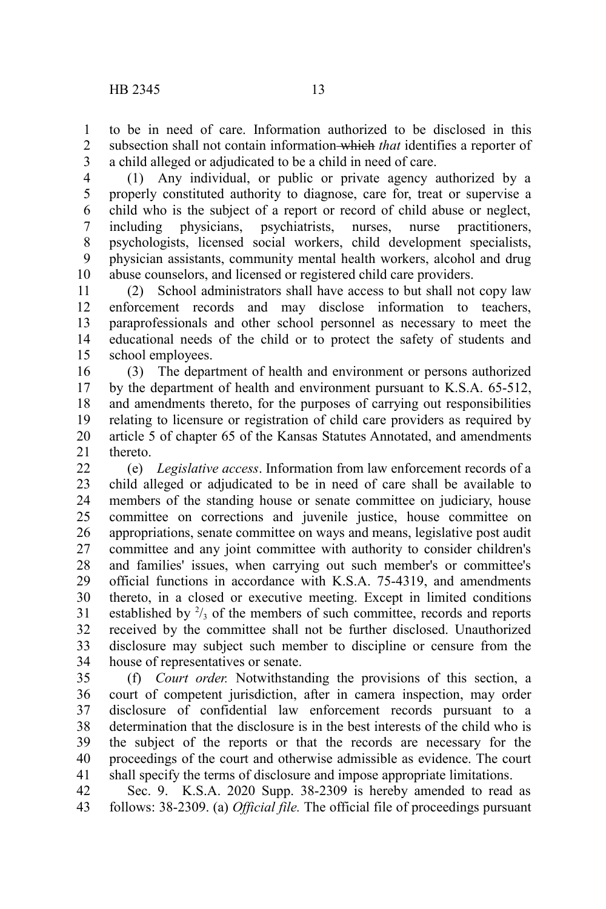to be in need of care. Information authorized to be disclosed in this subsection shall not contain information which *that* identifies a reporter of a child alleged or adjudicated to be a child in need of care. 1 2 3

(1) Any individual, or public or private agency authorized by a properly constituted authority to diagnose, care for, treat or supervise a child who is the subject of a report or record of child abuse or neglect, including physicians, psychiatrists, nurses, nurse practitioners, psychologists, licensed social workers, child development specialists, physician assistants, community mental health workers, alcohol and drug abuse counselors, and licensed or registered child care providers. 4 5 6 7 8 9 10

(2) School administrators shall have access to but shall not copy law enforcement records and may disclose information to teachers, paraprofessionals and other school personnel as necessary to meet the educational needs of the child or to protect the safety of students and school employees. 11 12 13 14 15

(3) The department of health and environment or persons authorized by the department of health and environment pursuant to K.S.A. 65-512, and amendments thereto, for the purposes of carrying out responsibilities relating to licensure or registration of child care providers as required by article 5 of chapter 65 of the Kansas Statutes Annotated, and amendments thereto. 16 17 18 19 20 21

(e) *Legislative access*. Information from law enforcement records of a child alleged or adjudicated to be in need of care shall be available to members of the standing house or senate committee on judiciary, house committee on corrections and juvenile justice, house committee on appropriations, senate committee on ways and means, legislative post audit committee and any joint committee with authority to consider children's and families' issues, when carrying out such member's or committee's official functions in accordance with K.S.A. 75-4319, and amendments thereto, in a closed or executive meeting. Except in limited conditions established by  $\frac{2}{3}$  of the members of such committee, records and reports received by the committee shall not be further disclosed. Unauthorized disclosure may subject such member to discipline or censure from the house of representatives or senate.  $22$ 23 24 25 26 27 28 29 30 31 32 33 34

(f) *Court order.* Notwithstanding the provisions of this section, a court of competent jurisdiction, after in camera inspection, may order disclosure of confidential law enforcement records pursuant to a determination that the disclosure is in the best interests of the child who is the subject of the reports or that the records are necessary for the proceedings of the court and otherwise admissible as evidence. The court shall specify the terms of disclosure and impose appropriate limitations. 35 36 37 38 39 40 41

Sec. 9. K.S.A. 2020 Supp. 38-2309 is hereby amended to read as follows: 38-2309. (a) *Official file.* The official file of proceedings pursuant 42 43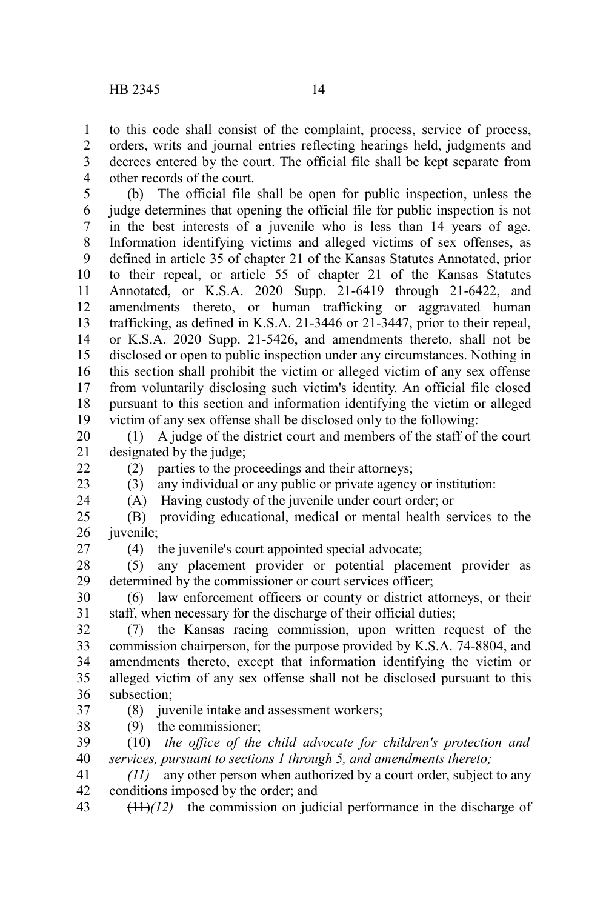to this code shall consist of the complaint, process, service of process, orders, writs and journal entries reflecting hearings held, judgments and decrees entered by the court. The official file shall be kept separate from other records of the court. 1 2 3 4

(b) The official file shall be open for public inspection, unless the judge determines that opening the official file for public inspection is not in the best interests of a juvenile who is less than 14 years of age. Information identifying victims and alleged victims of sex offenses, as defined in article 35 of chapter 21 of the Kansas Statutes Annotated, prior to their repeal, or article 55 of chapter 21 of the Kansas Statutes Annotated, or K.S.A. 2020 Supp. 21-6419 through 21-6422, and amendments thereto, or human trafficking or aggravated human trafficking, as defined in K.S.A. 21-3446 or 21-3447, prior to their repeal, or K.S.A. 2020 Supp. 21-5426, and amendments thereto, shall not be disclosed or open to public inspection under any circumstances. Nothing in this section shall prohibit the victim or alleged victim of any sex offense from voluntarily disclosing such victim's identity. An official file closed pursuant to this section and information identifying the victim or alleged victim of any sex offense shall be disclosed only to the following: 5 6 7 8 9 10 11 12 13 14 15 16 17 18 19

(1) A judge of the district court and members of the staff of the court designated by the judge; 20 21

22

23 24 (2) parties to the proceedings and their attorneys; (3) any individual or any public or private agency or institution:

(A) Having custody of the juvenile under court order; or

(B) providing educational, medical or mental health services to the juvenile; 25 26

27

(4) the juvenile's court appointed special advocate;

(5) any placement provider or potential placement provider as determined by the commissioner or court services officer; 28 29

(6) law enforcement officers or county or district attorneys, or their staff, when necessary for the discharge of their official duties; 30 31

(7) the Kansas racing commission, upon written request of the commission chairperson, for the purpose provided by K.S.A. 74-8804, and amendments thereto, except that information identifying the victim or alleged victim of any sex offense shall not be disclosed pursuant to this subsection; 32 33 34 35 36

37

(8) juvenile intake and assessment workers;

(9) the commissioner; 38

(10) *the office of the child advocate for children's protection and services, pursuant to sections 1 through 5, and amendments thereto;* 39 40

*(11)* any other person when authorized by a court order, subject to any conditions imposed by the order; and 41 42

 $(11)$ *(12)* the commission on judicial performance in the discharge of 43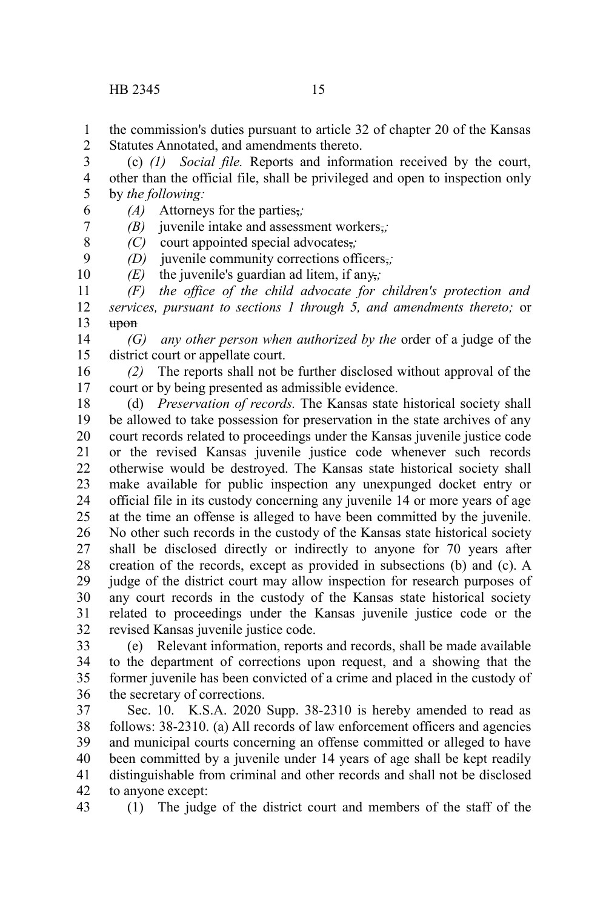6

8 9

the commission's duties pursuant to article 32 of chapter 20 of the Kansas Statutes Annotated, and amendments thereto. 1 2

(c) *(1) Social file.* Reports and information received by the court, other than the official file, shall be privileged and open to inspection only by *the following:* 3 4 5

*(A)* Attorneys for the parties,*;*

*(B)* juvenile intake and assessment workers,*;* 7

*(C)* court appointed special advocates,*;*

*(D)* juvenile community corrections officers,*;*

*(E)* the juvenile's guardian ad litem, if any,*;* 10

*(F) the office of the child advocate for children's protection and services, pursuant to sections 1 through 5, and amendments thereto;* or upon 11 12 13

*(G) any other person when authorized by the* order of a judge of the district court or appellate court. 14 15

*(2)* The reports shall not be further disclosed without approval of the court or by being presented as admissible evidence. 16 17

(d) *Preservation of records.* The Kansas state historical society shall be allowed to take possession for preservation in the state archives of any court records related to proceedings under the Kansas juvenile justice code or the revised Kansas juvenile justice code whenever such records otherwise would be destroyed. The Kansas state historical society shall make available for public inspection any unexpunged docket entry or official file in its custody concerning any juvenile 14 or more years of age at the time an offense is alleged to have been committed by the juvenile. No other such records in the custody of the Kansas state historical society shall be disclosed directly or indirectly to anyone for 70 years after creation of the records, except as provided in subsections (b) and (c). A judge of the district court may allow inspection for research purposes of any court records in the custody of the Kansas state historical society related to proceedings under the Kansas juvenile justice code or the revised Kansas juvenile justice code. 18 19 20 21 22 23 24 25 26 27 28 29 30 31 32

(e) Relevant information, reports and records, shall be made available to the department of corrections upon request, and a showing that the former juvenile has been convicted of a crime and placed in the custody of the secretary of corrections. 33 34 35 36

Sec. 10. K.S.A. 2020 Supp. 38-2310 is hereby amended to read as follows: 38-2310. (a) All records of law enforcement officers and agencies and municipal courts concerning an offense committed or alleged to have been committed by a juvenile under 14 years of age shall be kept readily distinguishable from criminal and other records and shall not be disclosed to anyone except: 37 38 39 40 41 42

(1) The judge of the district court and members of the staff of the 43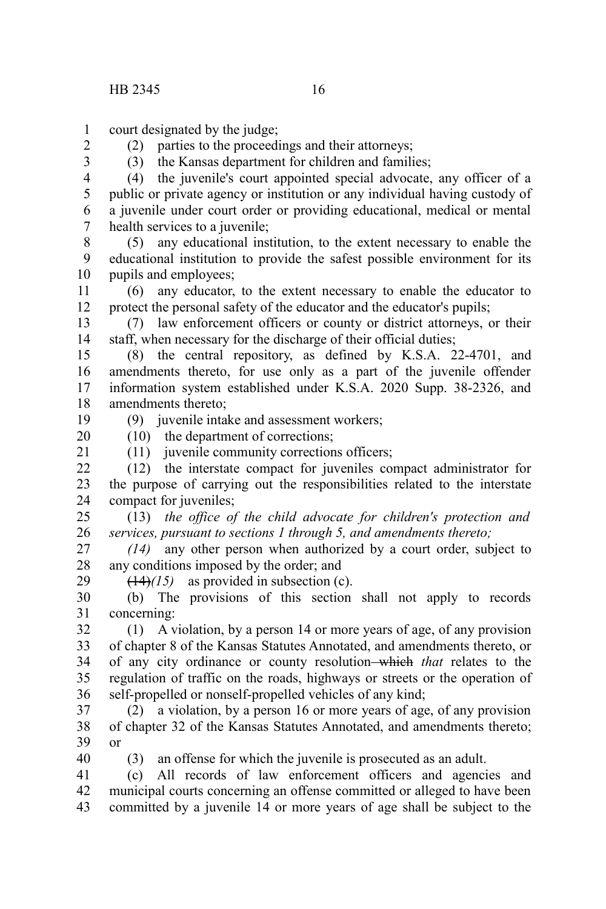2 3

court designated by the judge; 1

(2) parties to the proceedings and their attorneys;

(3) the Kansas department for children and families;

(4) the juvenile's court appointed special advocate, any officer of a public or private agency or institution or any individual having custody of a juvenile under court order or providing educational, medical or mental health services to a juvenile; 4 5 6 7

(5) any educational institution, to the extent necessary to enable the educational institution to provide the safest possible environment for its pupils and employees; 8 9 10

(6) any educator, to the extent necessary to enable the educator to protect the personal safety of the educator and the educator's pupils; 11 12

(7) law enforcement officers or county or district attorneys, or their staff, when necessary for the discharge of their official duties; 13 14

(8) the central repository, as defined by K.S.A. 22-4701, and amendments thereto, for use only as a part of the juvenile offender information system established under K.S.A. 2020 Supp. 38-2326, and amendments thereto; 15 16 17 18

(9) juvenile intake and assessment workers;

(10) the department of corrections;

20 21

40

19

(11) juvenile community corrections officers; (12) the interstate compact for juveniles compact administrator for  $22$ 

the purpose of carrying out the responsibilities related to the interstate compact for juveniles; 23 24

(13) *the office of the child advocate for children's protection and services, pursuant to sections 1 through 5, and amendments thereto;* 25 26

*(14)* any other person when authorized by a court order, subject to any conditions imposed by the order; and 27 28 29

 $(14)/(15)$  as provided in subsection (c).

(b) The provisions of this section shall not apply to records concerning: 30 31

(1) A violation, by a person 14 or more years of age, of any provision of chapter 8 of the Kansas Statutes Annotated, and amendments thereto, or of any city ordinance or county resolution which *that* relates to the regulation of traffic on the roads, highways or streets or the operation of self-propelled or nonself-propelled vehicles of any kind; 32 33 34 35 36

(2) a violation, by a person 16 or more years of age, of any provision of chapter 32 of the Kansas Statutes Annotated, and amendments thereto; or 37 38 39

(3) an offense for which the juvenile is prosecuted as an adult.

(c) All records of law enforcement officers and agencies and municipal courts concerning an offense committed or alleged to have been committed by a juvenile 14 or more years of age shall be subject to the 41 42 43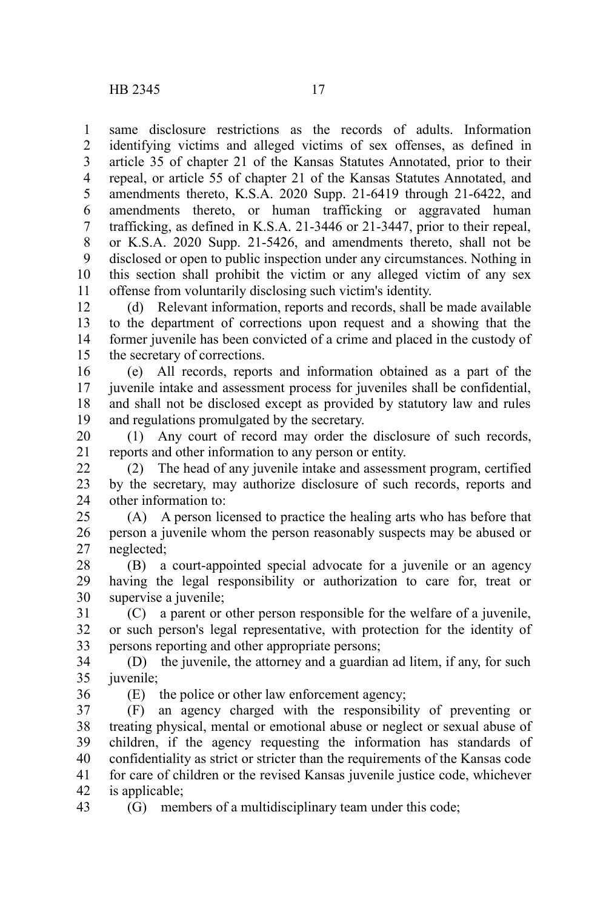same disclosure restrictions as the records of adults. Information identifying victims and alleged victims of sex offenses, as defined in article 35 of chapter 21 of the Kansas Statutes Annotated, prior to their repeal, or article 55 of chapter 21 of the Kansas Statutes Annotated, and amendments thereto, K.S.A. 2020 Supp. 21-6419 through 21-6422, and amendments thereto, or human trafficking or aggravated human trafficking, as defined in K.S.A. 21-3446 or 21-3447, prior to their repeal, or K.S.A. 2020 Supp. 21-5426, and amendments thereto, shall not be disclosed or open to public inspection under any circumstances. Nothing in this section shall prohibit the victim or any alleged victim of any sex offense from voluntarily disclosing such victim's identity. 1 2 3 4 5 6 7 8 9 10 11

(d) Relevant information, reports and records, shall be made available to the department of corrections upon request and a showing that the former juvenile has been convicted of a crime and placed in the custody of the secretary of corrections. 12 13 14 15

(e) All records, reports and information obtained as a part of the juvenile intake and assessment process for juveniles shall be confidential, and shall not be disclosed except as provided by statutory law and rules and regulations promulgated by the secretary. 16 17 18 19

(1) Any court of record may order the disclosure of such records, reports and other information to any person or entity. 20 21

(2) The head of any juvenile intake and assessment program, certified by the secretary, may authorize disclosure of such records, reports and other information to:  $22$ 23 24

(A) A person licensed to practice the healing arts who has before that person a juvenile whom the person reasonably suspects may be abused or neglected; 25 26 27

(B) a court-appointed special advocate for a juvenile or an agency having the legal responsibility or authorization to care for, treat or supervise a juvenile; 28 29 30

(C) a parent or other person responsible for the welfare of a juvenile, or such person's legal representative, with protection for the identity of persons reporting and other appropriate persons; 31 32 33

(D) the juvenile, the attorney and a guardian ad litem, if any, for such juvenile; 34 35

36

(E) the police or other law enforcement agency;

(F) an agency charged with the responsibility of preventing or treating physical, mental or emotional abuse or neglect or sexual abuse of children, if the agency requesting the information has standards of confidentiality as strict or stricter than the requirements of the Kansas code for care of children or the revised Kansas juvenile justice code, whichever is applicable; 37 38 39 40 41 42

(G) members of a multidisciplinary team under this code; 43